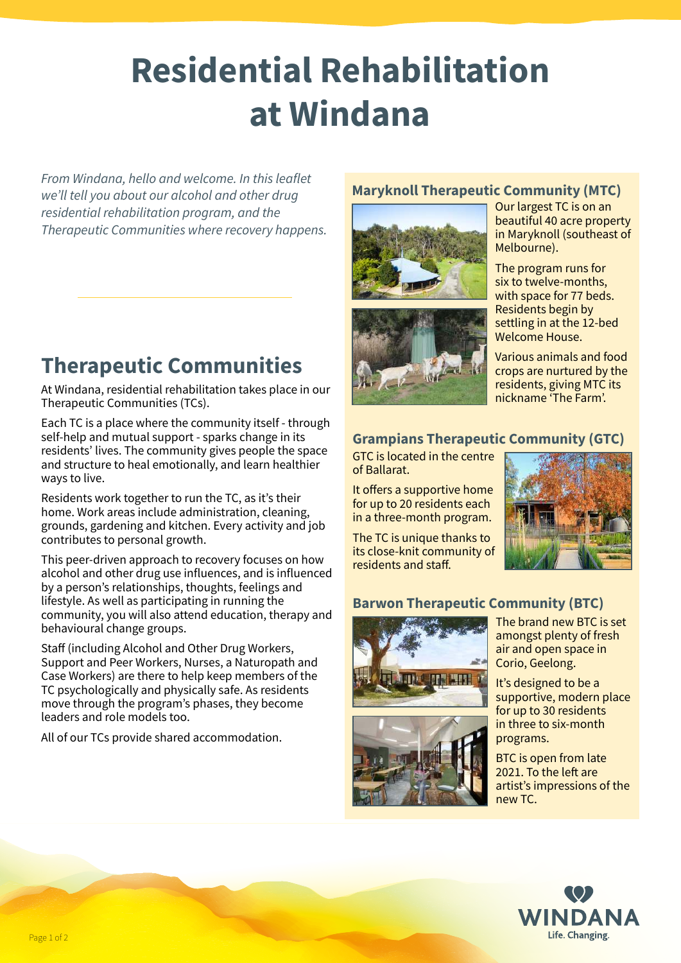# **Residential Rehabilitation at Windana**

*From Windana, hello and welcome. In this leaflet we'll tell you about our alcohol and other drug residential rehabilitation program, and the Therapeutic Communities where recovery happens.*

# **Therapeutic Communities**

At Windana, residential rehabilitation takes place in our Therapeutic Communities (TCs).

Each TC is a place where the community itself - through self-help and mutual support - sparks change in its residents' lives. The community gives people the space and structure to heal emotionally, and learn healthier ways to live.

Residents work together to run the TC, as it's their home. Work areas include administration, cleaning, grounds, gardening and kitchen. Every activity and job contributes to personal growth.

This peer-driven approach to recovery focuses on how alcohol and other drug use influences, and is influenced by a person's relationships, thoughts, feelings and lifestyle. As well as participating in running the community, you will also attend education, therapy and behavioural change groups.

Staff (including Alcohol and Other Drug Workers, Support and Peer Workers, Nurses, a Naturopath and Case Workers) are there to help keep members of the TC psychologically and physically safe. As residents move through the program's phases, they become leaders and role models too.

All of our TCs provide shared accommodation.

#### **Maryknoll Therapeutic Community (MTC)**





Our largest TC is on an beautiful 40 acre property in Maryknoll (southeast of Melbourne).

The program runs for six to twelve-months, with space for 77 beds. Residents begin by settling in at the 12-bed Welcome House.

Various animals and food crops are nurtured by the residents, giving MTC its nickname 'The Farm'.

#### **Grampians Therapeutic Community (GTC)**

GTC is located in the centre of Ballarat.

It offers a supportive home for up to 20 residents each in a three-month program.

The TC is unique thanks to its close-knit community of residents and staff.



#### **Barwon Therapeutic Community (BTC)**



The brand new BTC is set amongst plenty of fresh air and open space in Corio, Geelong.

It's designed to be a supportive, modern place for up to 30 residents in three to six-month programs.

BTC is open from late 2021. To the left are artist's impressions of the new TC.